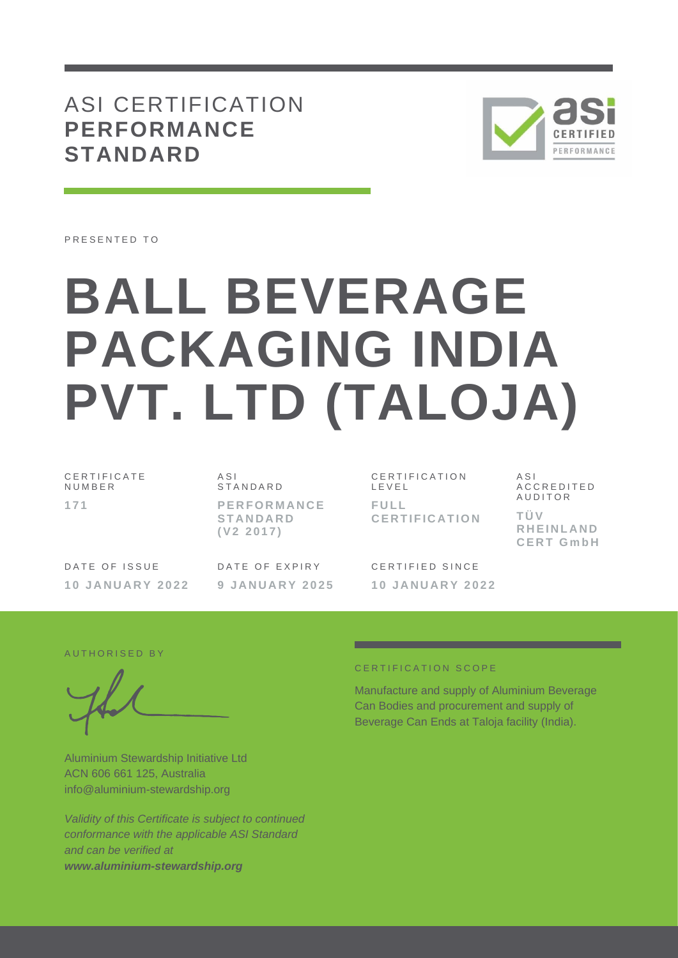## ASI CERTIFICATION **PERFORMANCE STANDARD**



PRESENTED TO

# **BALL BEVERAGE PACKAGING INDIA PVT. LTD (TALOJA)**

C E R T I F I C A T E **NUMBER 1 7 1**

A S I **STANDARD P E R F O R M A N C E S T A N D A R D ( V 2 2 0 1 7 )**

DATE OF ISSUE **1 0 J A N U A R Y 202 2** DATE OF EXPIRY **9 J A N U A R Y 2 0 2 5**

C E R T I F I C A T I O N L E V E L **F U L L C E R T I F I C A T I O N**

CERTIFIED SINCE **1 0 J A N U A R Y 2 0 2 2**  $A S I$ A C C R E D I T E D **AUDITOR T Ü V R H E I N L A N D C E R T G m b H**

AUTHORISED BY

Aluminium Stewardship Initiative Ltd ACN 606 661 125, Australia info@aluminium-stewardship.org

*Validity of this Certificate is subject to continued conformance with the applicable ASI Standard and can be verified at www.aluminium-stewardship.org*

#### C E R T I F I C A T I O N S C O P F

Manufacture and supply of Aluminium Beverage Can Bodies and procurement and supply of Beverage Can Ends at Taloja facility (India).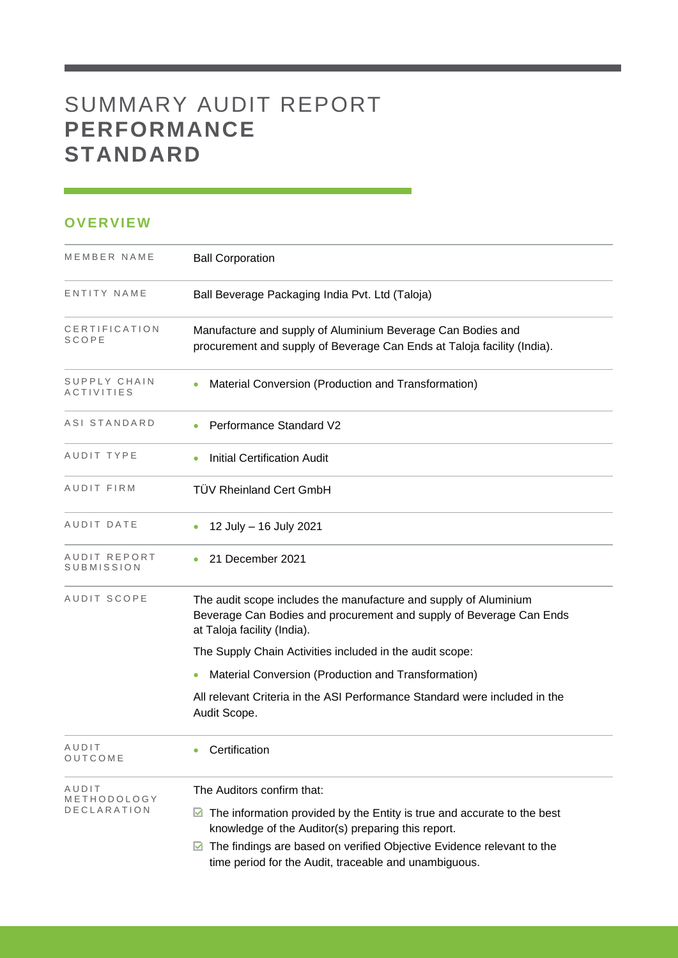# SUMMARY AUDIT REPORT **PERFORMANCE STANDARD**

### **OVERVIEW**

| MEMBER NAME                         | <b>Ball Corporation</b>                                                                                                                                                                                                                        |
|-------------------------------------|------------------------------------------------------------------------------------------------------------------------------------------------------------------------------------------------------------------------------------------------|
| ENTITY NAME                         | Ball Beverage Packaging India Pvt. Ltd (Taloja)                                                                                                                                                                                                |
| CERTIFICATION<br>SCOPE              | Manufacture and supply of Aluminium Beverage Can Bodies and<br>procurement and supply of Beverage Can Ends at Taloja facility (India).                                                                                                         |
| SUPPLY CHAIN<br><b>ACTIVITIES</b>   | Material Conversion (Production and Transformation)                                                                                                                                                                                            |
| ASI STANDARD                        | Performance Standard V2                                                                                                                                                                                                                        |
| AUDIT TYPE                          | <b>Initial Certification Audit</b>                                                                                                                                                                                                             |
| AUDIT FIRM                          | <b>TÜV Rheinland Cert GmbH</b>                                                                                                                                                                                                                 |
| AUDIT DATE                          | 12 July - 16 July 2021                                                                                                                                                                                                                         |
| AUDIT REPORT<br>SUBMISSION          | 21 December 2021                                                                                                                                                                                                                               |
| <b>AUDIT SCOPE</b>                  | The audit scope includes the manufacture and supply of Aluminium<br>Beverage Can Bodies and procurement and supply of Beverage Can Ends<br>at Taloja facility (India).                                                                         |
|                                     | The Supply Chain Activities included in the audit scope:                                                                                                                                                                                       |
|                                     | Material Conversion (Production and Transformation)                                                                                                                                                                                            |
|                                     | All relevant Criteria in the ASI Performance Standard were included in the<br>Audit Scope.                                                                                                                                                     |
| AUDIT<br>OUICOME                    | Certification                                                                                                                                                                                                                                  |
| AUDIT<br>METHODOLOGY<br>DECLARATION | The Auditors confirm that:<br>The information provided by the Entity is true and accurate to the best<br>M<br>knowledge of the Auditor(s) preparing this report.<br>The findings are based on verified Objective Evidence relevant to the<br>M |
|                                     | time period for the Audit, traceable and unambiguous.                                                                                                                                                                                          |

and the control of the control of the control of the control of the control of the control of the control of the control of the control of the control of the control of the control of the control of the control of the cont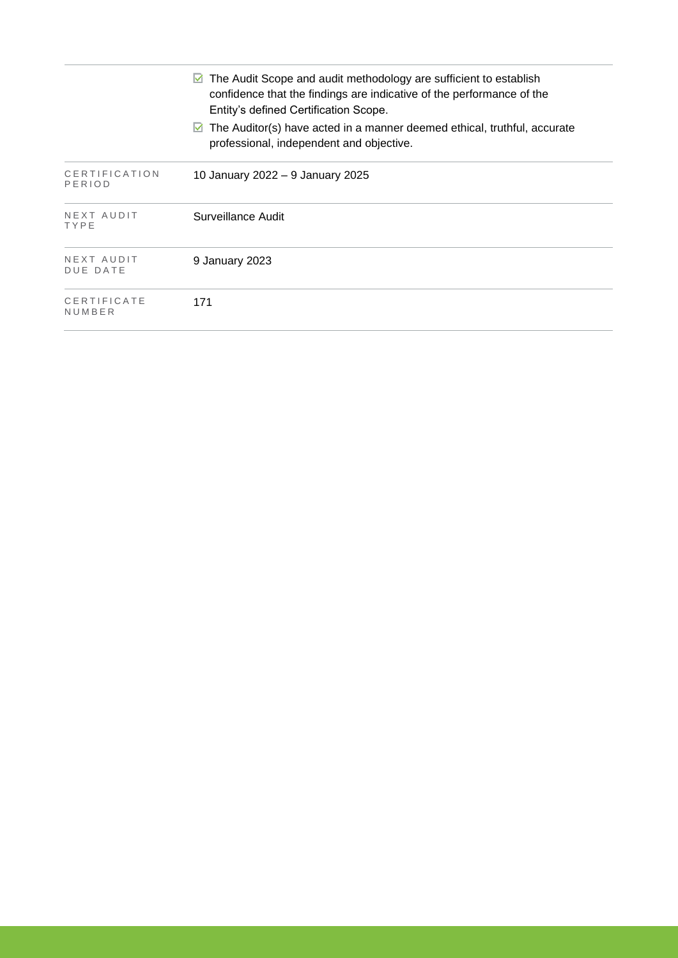|                                | The Audit Scope and audit methodology are sufficient to establish<br>M<br>confidence that the findings are indicative of the performance of the<br>Entity's defined Certification Scope. |
|--------------------------------|------------------------------------------------------------------------------------------------------------------------------------------------------------------------------------------|
|                                | $\triangleright$ The Auditor(s) have acted in a manner deemed ethical, truthful, accurate<br>professional, independent and objective.                                                    |
| <b>CERTIFICATION</b><br>PERIOD | 10 January 2022 – 9 January 2025                                                                                                                                                         |
| NEXT AUDIT<br>TYPE             | Surveillance Audit                                                                                                                                                                       |
| NEXT AUDIT<br>DUE DATE         | 9 January 2023                                                                                                                                                                           |
| CERTIFICATE<br>NUMBER          | 171                                                                                                                                                                                      |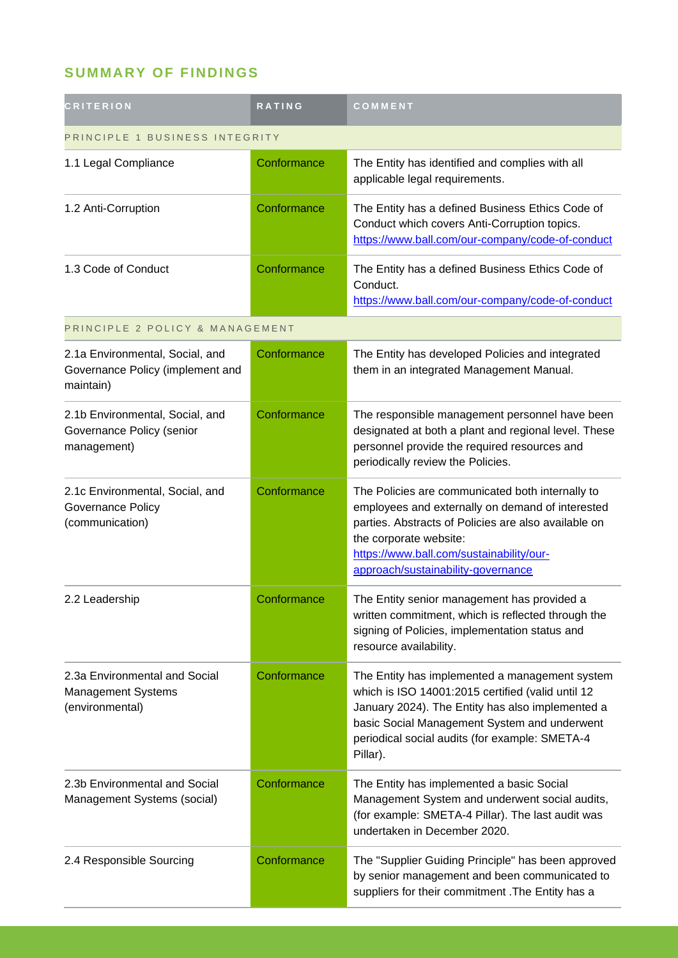## **SUMMARY OF FINDINGS**

| <b>CRITERION</b>                                                                 | <b>RATING</b> | COMMENT                                                                                                                                                                                                                                                                  |  |
|----------------------------------------------------------------------------------|---------------|--------------------------------------------------------------------------------------------------------------------------------------------------------------------------------------------------------------------------------------------------------------------------|--|
| PRINCIPLE 1 BUSINESS INTEGRITY                                                   |               |                                                                                                                                                                                                                                                                          |  |
| 1.1 Legal Compliance                                                             | Conformance   | The Entity has identified and complies with all<br>applicable legal requirements.                                                                                                                                                                                        |  |
| 1.2 Anti-Corruption                                                              | Conformance   | The Entity has a defined Business Ethics Code of<br>Conduct which covers Anti-Corruption topics.<br>https://www.ball.com/our-company/code-of-conduct                                                                                                                     |  |
| 1.3 Code of Conduct                                                              | Conformance   | The Entity has a defined Business Ethics Code of<br>Conduct.<br>https://www.ball.com/our-company/code-of-conduct                                                                                                                                                         |  |
| PRINCIPLE 2 POLICY & MANAGEMENT                                                  |               |                                                                                                                                                                                                                                                                          |  |
| 2.1a Environmental, Social, and<br>Governance Policy (implement and<br>maintain) | Conformance   | The Entity has developed Policies and integrated<br>them in an integrated Management Manual.                                                                                                                                                                             |  |
| 2.1b Environmental, Social, and<br>Governance Policy (senior<br>management)      | Conformance   | The responsible management personnel have been<br>designated at both a plant and regional level. These<br>personnel provide the required resources and<br>periodically review the Policies.                                                                              |  |
| 2.1c Environmental, Social, and<br>Governance Policy<br>(communication)          | Conformance   | The Policies are communicated both internally to<br>employees and externally on demand of interested<br>parties. Abstracts of Policies are also available on<br>the corporate website:<br>https://www.ball.com/sustainability/our-<br>approach/sustainability-governance |  |
| 2.2 Leadership                                                                   | Conformance   | The Entity senior management has provided a<br>written commitment, which is reflected through the<br>signing of Policies, implementation status and<br>resource availability.                                                                                            |  |
| 2.3a Environmental and Social<br><b>Management Systems</b><br>(environmental)    | Conformance   | The Entity has implemented a management system<br>which is ISO 14001:2015 certified (valid until 12<br>January 2024). The Entity has also implemented a<br>basic Social Management System and underwent<br>periodical social audits (for example: SMETA-4<br>Pillar).    |  |
| 2.3b Environmental and Social<br>Management Systems (social)                     | Conformance   | The Entity has implemented a basic Social<br>Management System and underwent social audits,<br>(for example: SMETA-4 Pillar). The last audit was<br>undertaken in December 2020.                                                                                         |  |
| 2.4 Responsible Sourcing                                                         | Conformance   | The "Supplier Guiding Principle" has been approved<br>by senior management and been communicated to<br>suppliers for their commitment . The Entity has a                                                                                                                 |  |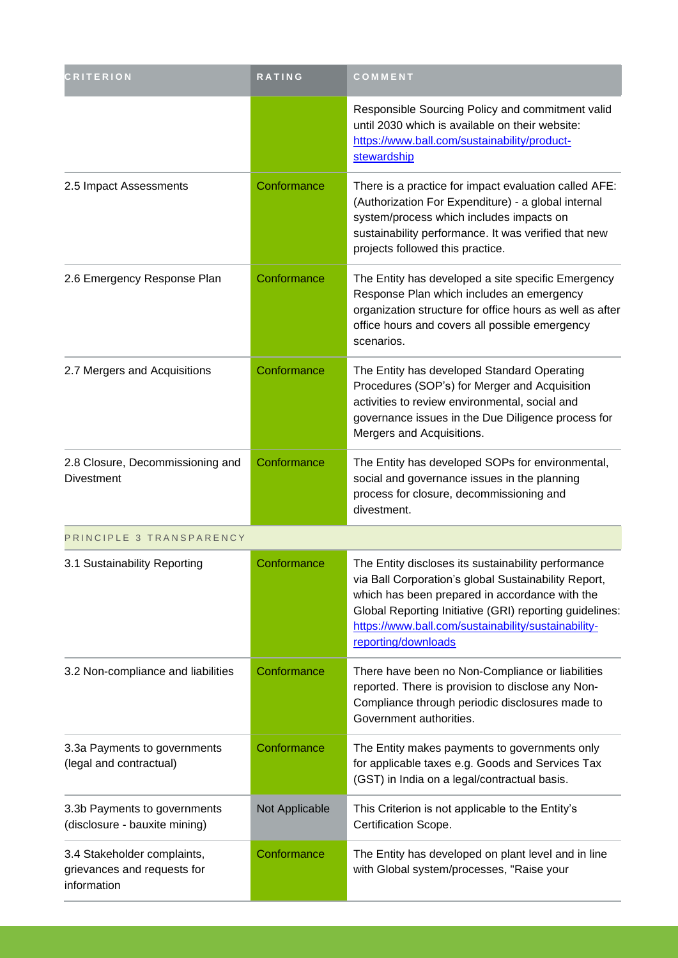| <b>CRITERION</b>                                                          | <b>RATING</b>  | COMMENT                                                                                                                                                                                                                                                                                                |
|---------------------------------------------------------------------------|----------------|--------------------------------------------------------------------------------------------------------------------------------------------------------------------------------------------------------------------------------------------------------------------------------------------------------|
|                                                                           |                | Responsible Sourcing Policy and commitment valid<br>until 2030 which is available on their website:<br>https://www.ball.com/sustainability/product-<br>stewardship                                                                                                                                     |
| 2.5 Impact Assessments                                                    | Conformance    | There is a practice for impact evaluation called AFE:<br>(Authorization For Expenditure) - a global internal<br>system/process which includes impacts on<br>sustainability performance. It was verified that new<br>projects followed this practice.                                                   |
| 2.6 Emergency Response Plan                                               | Conformance    | The Entity has developed a site specific Emergency<br>Response Plan which includes an emergency<br>organization structure for office hours as well as after<br>office hours and covers all possible emergency<br>scenarios.                                                                            |
| 2.7 Mergers and Acquisitions                                              | Conformance    | The Entity has developed Standard Operating<br>Procedures (SOP's) for Merger and Acquisition<br>activities to review environmental, social and<br>governance issues in the Due Diligence process for<br>Mergers and Acquisitions.                                                                      |
| 2.8 Closure, Decommissioning and<br><b>Divestment</b>                     | Conformance    | The Entity has developed SOPs for environmental,<br>social and governance issues in the planning<br>process for closure, decommissioning and<br>divestment.                                                                                                                                            |
| PRINCIPLE 3 TRANSPARENCY                                                  |                |                                                                                                                                                                                                                                                                                                        |
| 3.1 Sustainability Reporting                                              | Conformance    | The Entity discloses its sustainability performance<br>via Ball Corporation's global Sustainability Report,<br>which has been prepared in accordance with the<br>Global Reporting Initiative (GRI) reporting guidelines:<br>https://www.ball.com/sustainability/sustainability-<br>reporting/downloads |
| 3.2 Non-compliance and liabilities                                        | Conformance    | There have been no Non-Compliance or liabilities<br>reported. There is provision to disclose any Non-<br>Compliance through periodic disclosures made to<br>Government authorities.                                                                                                                    |
| 3.3a Payments to governments<br>(legal and contractual)                   | Conformance    | The Entity makes payments to governments only<br>for applicable taxes e.g. Goods and Services Tax<br>(GST) in India on a legal/contractual basis.                                                                                                                                                      |
| 3.3b Payments to governments<br>(disclosure - bauxite mining)             | Not Applicable | This Criterion is not applicable to the Entity's<br>Certification Scope.                                                                                                                                                                                                                               |
| 3.4 Stakeholder complaints,<br>grievances and requests for<br>information | Conformance    | The Entity has developed on plant level and in line<br>with Global system/processes, "Raise your                                                                                                                                                                                                       |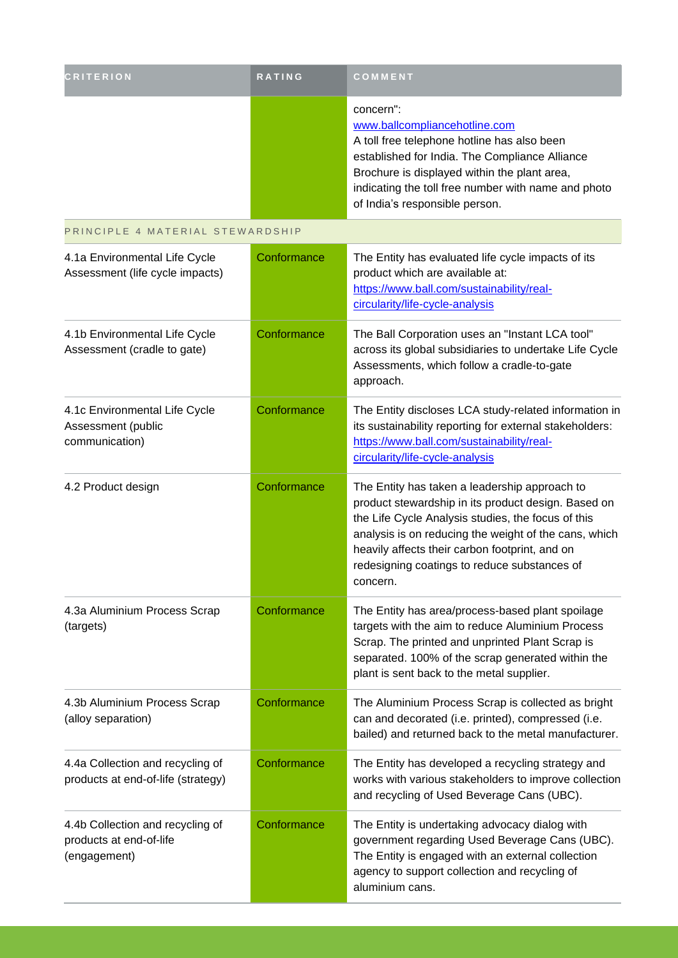| <b>CRITERION</b>                                                            | <b>RATING</b> | COMMENT                                                                                                                                                                                                                                                                                                                           |
|-----------------------------------------------------------------------------|---------------|-----------------------------------------------------------------------------------------------------------------------------------------------------------------------------------------------------------------------------------------------------------------------------------------------------------------------------------|
|                                                                             |               | concern":<br>www.ballcompliancehotline.com<br>A toll free telephone hotline has also been<br>established for India. The Compliance Alliance<br>Brochure is displayed within the plant area,<br>indicating the toll free number with name and photo<br>of India's responsible person.                                              |
| PRINCIPLE 4 MATERIAL STEWARDSHIP                                            |               |                                                                                                                                                                                                                                                                                                                                   |
| 4.1a Environmental Life Cycle<br>Assessment (life cycle impacts)            | Conformance   | The Entity has evaluated life cycle impacts of its<br>product which are available at:<br>https://www.ball.com/sustainability/real-<br>circularity/life-cycle-analysis                                                                                                                                                             |
| 4.1b Environmental Life Cycle<br>Assessment (cradle to gate)                | Conformance   | The Ball Corporation uses an "Instant LCA tool"<br>across its global subsidiaries to undertake Life Cycle<br>Assessments, which follow a cradle-to-gate<br>approach.                                                                                                                                                              |
| 4.1c Environmental Life Cycle<br>Assessment (public<br>communication)       | Conformance   | The Entity discloses LCA study-related information in<br>its sustainability reporting for external stakeholders:<br>https://www.ball.com/sustainability/real-<br>circularity/life-cycle-analysis                                                                                                                                  |
| 4.2 Product design                                                          | Conformance   | The Entity has taken a leadership approach to<br>product stewardship in its product design. Based on<br>the Life Cycle Analysis studies, the focus of this<br>analysis is on reducing the weight of the cans, which<br>heavily affects their carbon footprint, and on<br>redesigning coatings to reduce substances of<br>concern. |
| 4.3a Aluminium Process Scrap<br>(targets)                                   | Conformance   | The Entity has area/process-based plant spoilage<br>targets with the aim to reduce Aluminium Process<br>Scrap. The printed and unprinted Plant Scrap is<br>separated. 100% of the scrap generated within the<br>plant is sent back to the metal supplier.                                                                         |
| 4.3b Aluminium Process Scrap<br>(alloy separation)                          | Conformance   | The Aluminium Process Scrap is collected as bright<br>can and decorated (i.e. printed), compressed (i.e.<br>bailed) and returned back to the metal manufacturer.                                                                                                                                                                  |
| 4.4a Collection and recycling of<br>products at end-of-life (strategy)      | Conformance   | The Entity has developed a recycling strategy and<br>works with various stakeholders to improve collection<br>and recycling of Used Beverage Cans (UBC).                                                                                                                                                                          |
| 4.4b Collection and recycling of<br>products at end-of-life<br>(engagement) | Conformance   | The Entity is undertaking advocacy dialog with<br>government regarding Used Beverage Cans (UBC).<br>The Entity is engaged with an external collection<br>agency to support collection and recycling of<br>aluminium cans.                                                                                                         |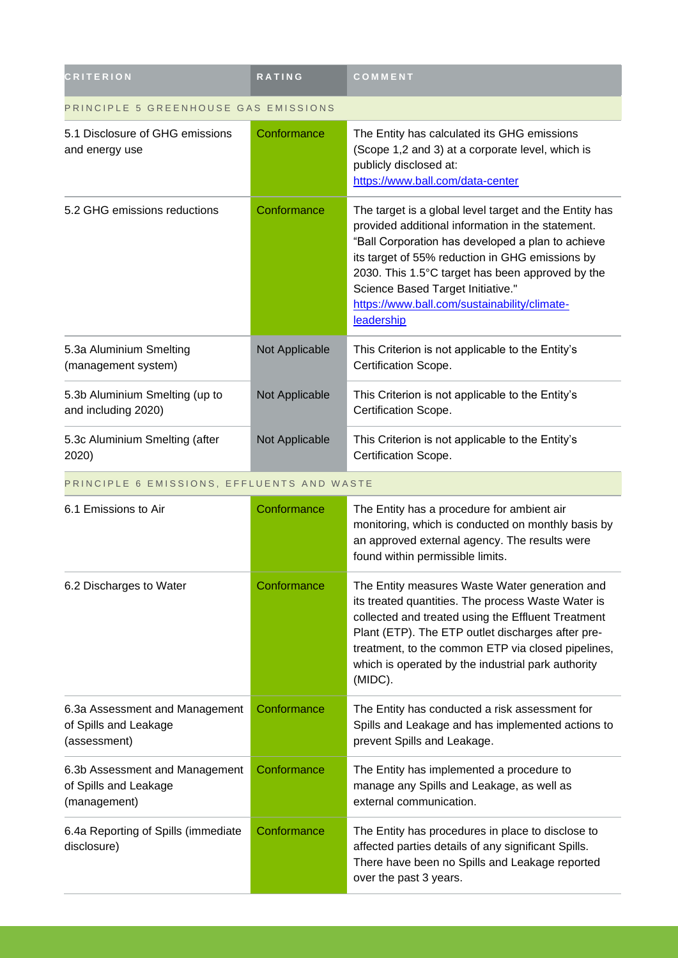| <b>CRITERION</b>                                                        | RATING         | COMMENT                                                                                                                                                                                                                                                                                                                                                                    |  |
|-------------------------------------------------------------------------|----------------|----------------------------------------------------------------------------------------------------------------------------------------------------------------------------------------------------------------------------------------------------------------------------------------------------------------------------------------------------------------------------|--|
| PRINCIPLE 5 GREENHOUSE GAS EMISSIONS                                    |                |                                                                                                                                                                                                                                                                                                                                                                            |  |
| 5.1 Disclosure of GHG emissions<br>and energy use                       | Conformance    | The Entity has calculated its GHG emissions<br>(Scope 1,2 and 3) at a corporate level, which is<br>publicly disclosed at:<br>https://www.ball.com/data-center                                                                                                                                                                                                              |  |
| 5.2 GHG emissions reductions                                            | Conformance    | The target is a global level target and the Entity has<br>provided additional information in the statement.<br>"Ball Corporation has developed a plan to achieve<br>its target of 55% reduction in GHG emissions by<br>2030. This 1.5°C target has been approved by the<br>Science Based Target Initiative."<br>https://www.ball.com/sustainability/climate-<br>leadership |  |
| 5.3a Aluminium Smelting<br>(management system)                          | Not Applicable | This Criterion is not applicable to the Entity's<br>Certification Scope.                                                                                                                                                                                                                                                                                                   |  |
| 5.3b Aluminium Smelting (up to<br>and including 2020)                   | Not Applicable | This Criterion is not applicable to the Entity's<br>Certification Scope.                                                                                                                                                                                                                                                                                                   |  |
| 5.3c Aluminium Smelting (after<br>2020)                                 | Not Applicable | This Criterion is not applicable to the Entity's<br>Certification Scope.                                                                                                                                                                                                                                                                                                   |  |
| PRINCIPLE 6 EMISSIONS, EFFLUENTS AND WASTE                              |                |                                                                                                                                                                                                                                                                                                                                                                            |  |
| 6.1 Emissions to Air                                                    | Conformance    | The Entity has a procedure for ambient air<br>monitoring, which is conducted on monthly basis by<br>an approved external agency. The results were<br>found within permissible limits.                                                                                                                                                                                      |  |
| 6.2 Discharges to Water                                                 | Conformance    | The Entity measures Waste Water generation and<br>its treated quantities. The process Waste Water is<br>collected and treated using the Effluent Treatment<br>Plant (ETP). The ETP outlet discharges after pre-<br>treatment, to the common ETP via closed pipelines,<br>which is operated by the industrial park authority<br>(MIDC).                                     |  |
| 6.3a Assessment and Management<br>of Spills and Leakage<br>(assessment) | Conformance    | The Entity has conducted a risk assessment for<br>Spills and Leakage and has implemented actions to<br>prevent Spills and Leakage.                                                                                                                                                                                                                                         |  |
| 6.3b Assessment and Management<br>of Spills and Leakage<br>(management) | Conformance    | The Entity has implemented a procedure to<br>manage any Spills and Leakage, as well as<br>external communication.                                                                                                                                                                                                                                                          |  |
| 6.4a Reporting of Spills (immediate<br>disclosure)                      | Conformance    | The Entity has procedures in place to disclose to<br>affected parties details of any significant Spills.<br>There have been no Spills and Leakage reported<br>over the past 3 years.                                                                                                                                                                                       |  |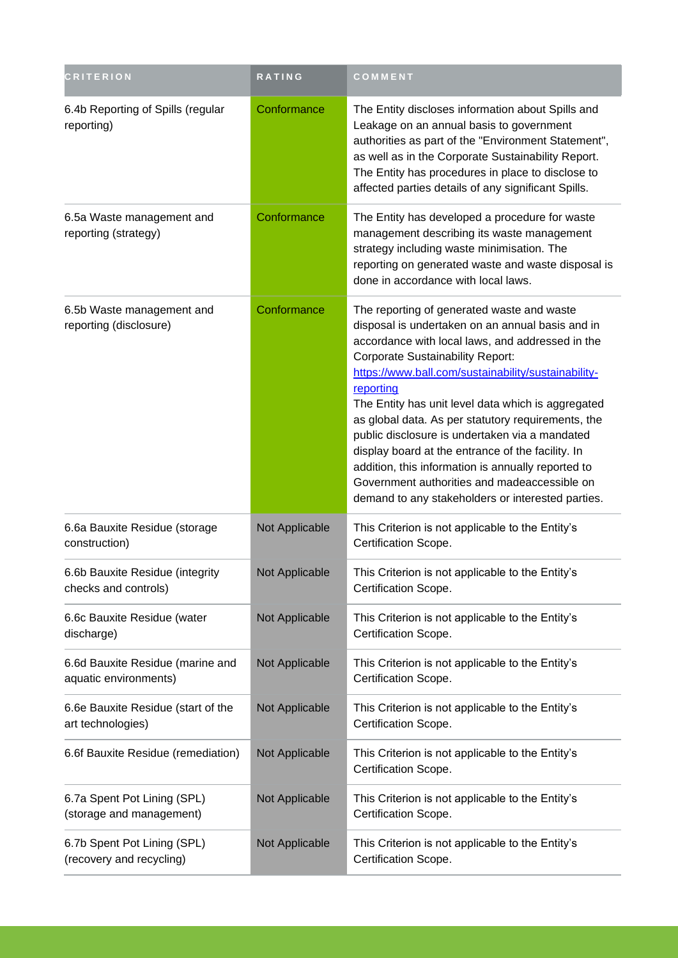| <b>CRITERION</b>                                          | <b>RATING</b>  | COMMENT                                                                                                                                                                                                                                                                                                                                                                                                                                                                                                                                                                                                                                         |
|-----------------------------------------------------------|----------------|-------------------------------------------------------------------------------------------------------------------------------------------------------------------------------------------------------------------------------------------------------------------------------------------------------------------------------------------------------------------------------------------------------------------------------------------------------------------------------------------------------------------------------------------------------------------------------------------------------------------------------------------------|
| 6.4b Reporting of Spills (regular<br>reporting)           | Conformance    | The Entity discloses information about Spills and<br>Leakage on an annual basis to government<br>authorities as part of the "Environment Statement",<br>as well as in the Corporate Sustainability Report.<br>The Entity has procedures in place to disclose to<br>affected parties details of any significant Spills.                                                                                                                                                                                                                                                                                                                          |
| 6.5a Waste management and<br>reporting (strategy)         | Conformance    | The Entity has developed a procedure for waste<br>management describing its waste management<br>strategy including waste minimisation. The<br>reporting on generated waste and waste disposal is<br>done in accordance with local laws.                                                                                                                                                                                                                                                                                                                                                                                                         |
| 6.5b Waste management and<br>reporting (disclosure)       | Conformance    | The reporting of generated waste and waste<br>disposal is undertaken on an annual basis and in<br>accordance with local laws, and addressed in the<br><b>Corporate Sustainability Report:</b><br>https://www.ball.com/sustainability/sustainability-<br>reporting<br>The Entity has unit level data which is aggregated<br>as global data. As per statutory requirements, the<br>public disclosure is undertaken via a mandated<br>display board at the entrance of the facility. In<br>addition, this information is annually reported to<br>Government authorities and madeaccessible on<br>demand to any stakeholders or interested parties. |
| 6.6a Bauxite Residue (storage<br>construction)            | Not Applicable | This Criterion is not applicable to the Entity's<br>Certification Scope.                                                                                                                                                                                                                                                                                                                                                                                                                                                                                                                                                                        |
| 6.6b Bauxite Residue (integrity<br>checks and controls)   | Not Applicable | This Criterion is not applicable to the Entity's<br>Certification Scope.                                                                                                                                                                                                                                                                                                                                                                                                                                                                                                                                                                        |
| 6.6c Bauxite Residue (water<br>discharge)                 | Not Applicable | This Criterion is not applicable to the Entity's<br>Certification Scope.                                                                                                                                                                                                                                                                                                                                                                                                                                                                                                                                                                        |
| 6.6d Bauxite Residue (marine and<br>aquatic environments) | Not Applicable | This Criterion is not applicable to the Entity's<br>Certification Scope.                                                                                                                                                                                                                                                                                                                                                                                                                                                                                                                                                                        |
| 6.6e Bauxite Residue (start of the<br>art technologies)   | Not Applicable | This Criterion is not applicable to the Entity's<br>Certification Scope.                                                                                                                                                                                                                                                                                                                                                                                                                                                                                                                                                                        |
| 6.6f Bauxite Residue (remediation)                        | Not Applicable | This Criterion is not applicable to the Entity's<br>Certification Scope.                                                                                                                                                                                                                                                                                                                                                                                                                                                                                                                                                                        |
| 6.7a Spent Pot Lining (SPL)<br>(storage and management)   | Not Applicable | This Criterion is not applicable to the Entity's<br>Certification Scope.                                                                                                                                                                                                                                                                                                                                                                                                                                                                                                                                                                        |
| 6.7b Spent Pot Lining (SPL)<br>(recovery and recycling)   | Not Applicable | This Criterion is not applicable to the Entity's<br>Certification Scope.                                                                                                                                                                                                                                                                                                                                                                                                                                                                                                                                                                        |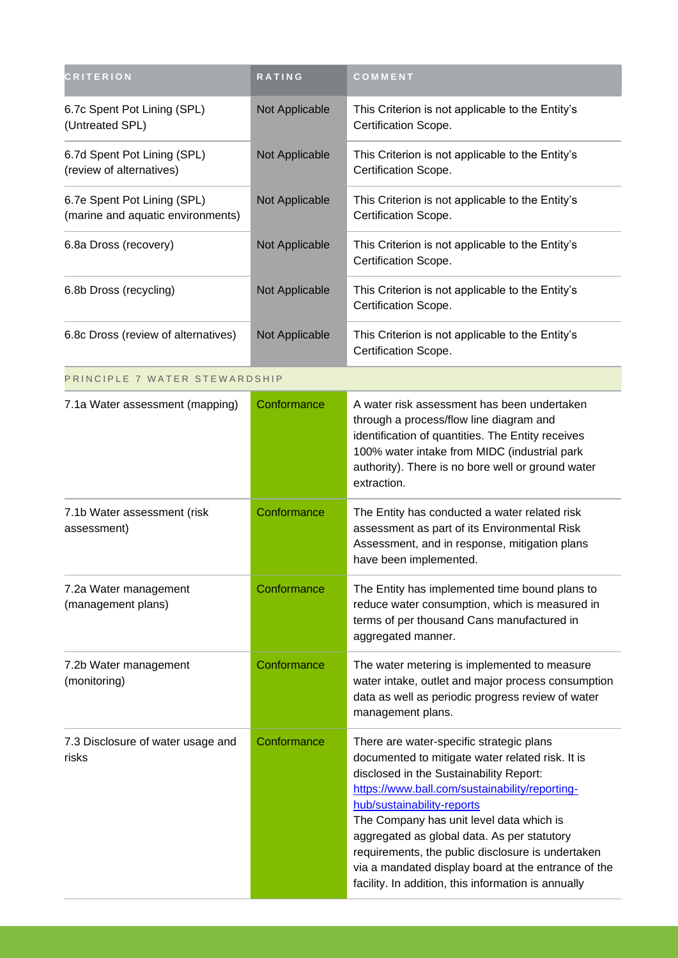| <b>CRITERION</b>                                                 | RATING         | COMMENT                                                                                                                                                                                                                                                                                                                                                                                                                                                                               |
|------------------------------------------------------------------|----------------|---------------------------------------------------------------------------------------------------------------------------------------------------------------------------------------------------------------------------------------------------------------------------------------------------------------------------------------------------------------------------------------------------------------------------------------------------------------------------------------|
| 6.7c Spent Pot Lining (SPL)<br>(Untreated SPL)                   | Not Applicable | This Criterion is not applicable to the Entity's<br>Certification Scope.                                                                                                                                                                                                                                                                                                                                                                                                              |
| 6.7d Spent Pot Lining (SPL)<br>(review of alternatives)          | Not Applicable | This Criterion is not applicable to the Entity's<br>Certification Scope.                                                                                                                                                                                                                                                                                                                                                                                                              |
| 6.7e Spent Pot Lining (SPL)<br>(marine and aquatic environments) | Not Applicable | This Criterion is not applicable to the Entity's<br>Certification Scope.                                                                                                                                                                                                                                                                                                                                                                                                              |
| 6.8a Dross (recovery)                                            | Not Applicable | This Criterion is not applicable to the Entity's<br>Certification Scope.                                                                                                                                                                                                                                                                                                                                                                                                              |
| 6.8b Dross (recycling)                                           | Not Applicable | This Criterion is not applicable to the Entity's<br>Certification Scope.                                                                                                                                                                                                                                                                                                                                                                                                              |
| 6.8c Dross (review of alternatives)                              | Not Applicable | This Criterion is not applicable to the Entity's<br>Certification Scope.                                                                                                                                                                                                                                                                                                                                                                                                              |
| PRINCIPLE 7 WATER STEWARDSHIP                                    |                |                                                                                                                                                                                                                                                                                                                                                                                                                                                                                       |
| 7.1a Water assessment (mapping)                                  | Conformance    | A water risk assessment has been undertaken<br>through a process/flow line diagram and<br>identification of quantities. The Entity receives<br>100% water intake from MIDC (industrial park<br>authority). There is no bore well or ground water<br>extraction.                                                                                                                                                                                                                       |
| 7.1b Water assessment (risk<br>assessment)                       | Conformance    | The Entity has conducted a water related risk<br>assessment as part of its Environmental Risk<br>Assessment, and in response, mitigation plans<br>have been implemented.                                                                                                                                                                                                                                                                                                              |
| 7.2a Water management<br>(management plans)                      | Conformance    | The Entity has implemented time bound plans to<br>reduce water consumption, which is measured in<br>terms of per thousand Cans manufactured in<br>aggregated manner.                                                                                                                                                                                                                                                                                                                  |
| 7.2b Water management<br>(monitoring)                            | Conformance    | The water metering is implemented to measure<br>water intake, outlet and major process consumption<br>data as well as periodic progress review of water<br>management plans.                                                                                                                                                                                                                                                                                                          |
| 7.3 Disclosure of water usage and<br>risks                       | Conformance    | There are water-specific strategic plans<br>documented to mitigate water related risk. It is<br>disclosed in the Sustainability Report:<br>https://www.ball.com/sustainability/reporting-<br>hub/sustainability-reports<br>The Company has unit level data which is<br>aggregated as global data. As per statutory<br>requirements, the public disclosure is undertaken<br>via a mandated display board at the entrance of the<br>facility. In addition, this information is annually |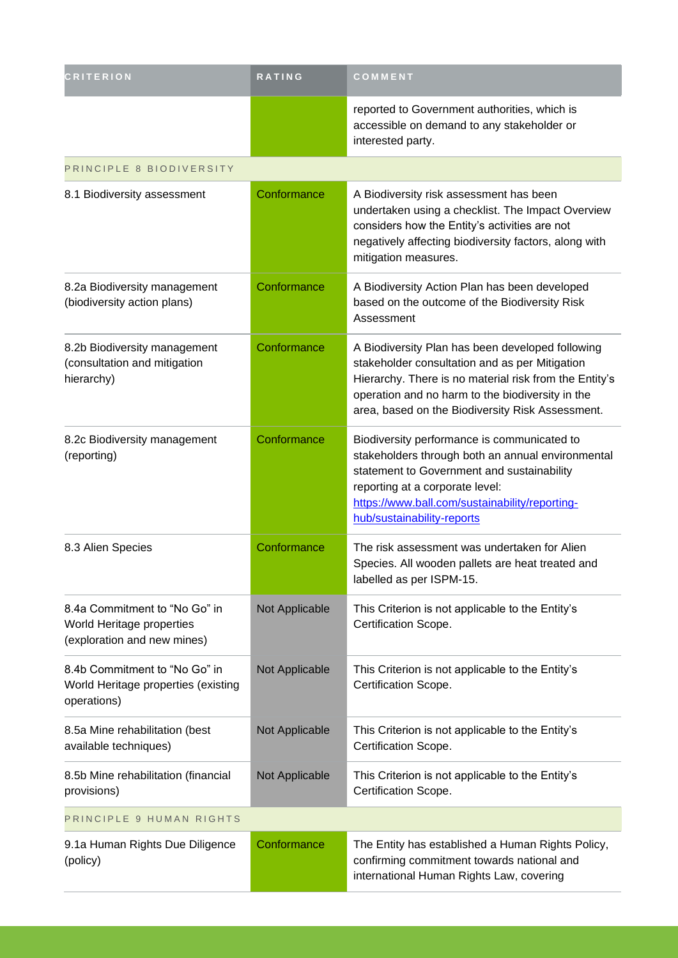| <b>CRITERION</b>                                                                          | RATING         | COMMENT                                                                                                                                                                                                                                                              |  |
|-------------------------------------------------------------------------------------------|----------------|----------------------------------------------------------------------------------------------------------------------------------------------------------------------------------------------------------------------------------------------------------------------|--|
|                                                                                           |                | reported to Government authorities, which is<br>accessible on demand to any stakeholder or<br>interested party.                                                                                                                                                      |  |
| PRINCIPLE 8 BIODIVERSITY                                                                  |                |                                                                                                                                                                                                                                                                      |  |
| 8.1 Biodiversity assessment                                                               | Conformance    | A Biodiversity risk assessment has been<br>undertaken using a checklist. The Impact Overview<br>considers how the Entity's activities are not<br>negatively affecting biodiversity factors, along with<br>mitigation measures.                                       |  |
| 8.2a Biodiversity management<br>(biodiversity action plans)                               | Conformance    | A Biodiversity Action Plan has been developed<br>based on the outcome of the Biodiversity Risk<br>Assessment                                                                                                                                                         |  |
| 8.2b Biodiversity management<br>(consultation and mitigation<br>hierarchy)                | Conformance    | A Biodiversity Plan has been developed following<br>stakeholder consultation and as per Mitigation<br>Hierarchy. There is no material risk from the Entity's<br>operation and no harm to the biodiversity in the<br>area, based on the Biodiversity Risk Assessment. |  |
| 8.2c Biodiversity management<br>(reporting)                                               | Conformance    | Biodiversity performance is communicated to<br>stakeholders through both an annual environmental<br>statement to Government and sustainability<br>reporting at a corporate level:<br>https://www.ball.com/sustainability/reporting-<br>hub/sustainability-reports    |  |
| 8.3 Alien Species                                                                         | Conformance    | The risk assessment was undertaken for Alien<br>Species. All wooden pallets are heat treated and<br>labelled as per ISPM-15.                                                                                                                                         |  |
| 8.4a Commitment to "No Go" in<br>World Heritage properties<br>(exploration and new mines) | Not Applicable | This Criterion is not applicable to the Entity's<br>Certification Scope.                                                                                                                                                                                             |  |
| 8.4b Commitment to "No Go" in<br>World Heritage properties (existing<br>operations)       | Not Applicable | This Criterion is not applicable to the Entity's<br>Certification Scope.                                                                                                                                                                                             |  |
| 8.5a Mine rehabilitation (best<br>available techniques)                                   | Not Applicable | This Criterion is not applicable to the Entity's<br>Certification Scope.                                                                                                                                                                                             |  |
| 8.5b Mine rehabilitation (financial<br>provisions)                                        | Not Applicable | This Criterion is not applicable to the Entity's<br>Certification Scope.                                                                                                                                                                                             |  |
| PRINCIPLE 9 HUMAN RIGHTS                                                                  |                |                                                                                                                                                                                                                                                                      |  |
| 9.1a Human Rights Due Diligence<br>(policy)                                               | Conformance    | The Entity has established a Human Rights Policy,<br>confirming commitment towards national and<br>international Human Rights Law, covering                                                                                                                          |  |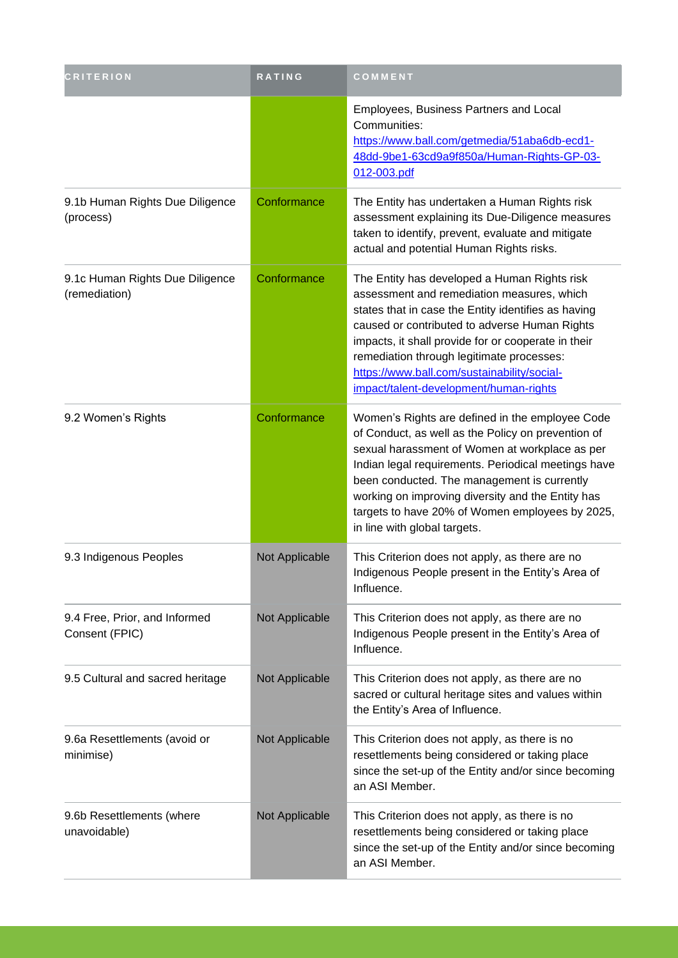| <b>CRITERION</b>                                 | RATING         | COMMENT                                                                                                                                                                                                                                                                                                                                                                                               |
|--------------------------------------------------|----------------|-------------------------------------------------------------------------------------------------------------------------------------------------------------------------------------------------------------------------------------------------------------------------------------------------------------------------------------------------------------------------------------------------------|
|                                                  |                | Employees, Business Partners and Local<br>Communities:<br>https://www.ball.com/getmedia/51aba6db-ecd1-<br>48dd-9be1-63cd9a9f850a/Human-Rights-GP-03-<br>012-003.pdf                                                                                                                                                                                                                                   |
| 9.1b Human Rights Due Diligence<br>(process)     | Conformance    | The Entity has undertaken a Human Rights risk<br>assessment explaining its Due-Diligence measures<br>taken to identify, prevent, evaluate and mitigate<br>actual and potential Human Rights risks.                                                                                                                                                                                                    |
| 9.1c Human Rights Due Diligence<br>(remediation) | Conformance    | The Entity has developed a Human Rights risk<br>assessment and remediation measures, which<br>states that in case the Entity identifies as having<br>caused or contributed to adverse Human Rights<br>impacts, it shall provide for or cooperate in their<br>remediation through legitimate processes:<br>https://www.ball.com/sustainability/social-<br>impact/talent-development/human-rights       |
| 9.2 Women's Rights                               | Conformance    | Women's Rights are defined in the employee Code<br>of Conduct, as well as the Policy on prevention of<br>sexual harassment of Women at workplace as per<br>Indian legal requirements. Periodical meetings have<br>been conducted. The management is currently<br>working on improving diversity and the Entity has<br>targets to have 20% of Women employees by 2025,<br>in line with global targets. |
| 9.3 Indigenous Peoples                           | Not Applicable | This Criterion does not apply, as there are no<br>Indigenous People present in the Entity's Area of<br>Influence.                                                                                                                                                                                                                                                                                     |
| 9.4 Free, Prior, and Informed<br>Consent (FPIC)  | Not Applicable | This Criterion does not apply, as there are no<br>Indigenous People present in the Entity's Area of<br>Influence.                                                                                                                                                                                                                                                                                     |
| 9.5 Cultural and sacred heritage                 | Not Applicable | This Criterion does not apply, as there are no<br>sacred or cultural heritage sites and values within<br>the Entity's Area of Influence.                                                                                                                                                                                                                                                              |
| 9.6a Resettlements (avoid or<br>minimise)        | Not Applicable | This Criterion does not apply, as there is no<br>resettlements being considered or taking place<br>since the set-up of the Entity and/or since becoming<br>an ASI Member.                                                                                                                                                                                                                             |
| 9.6b Resettlements (where<br>unavoidable)        | Not Applicable | This Criterion does not apply, as there is no<br>resettlements being considered or taking place<br>since the set-up of the Entity and/or since becoming<br>an ASI Member.                                                                                                                                                                                                                             |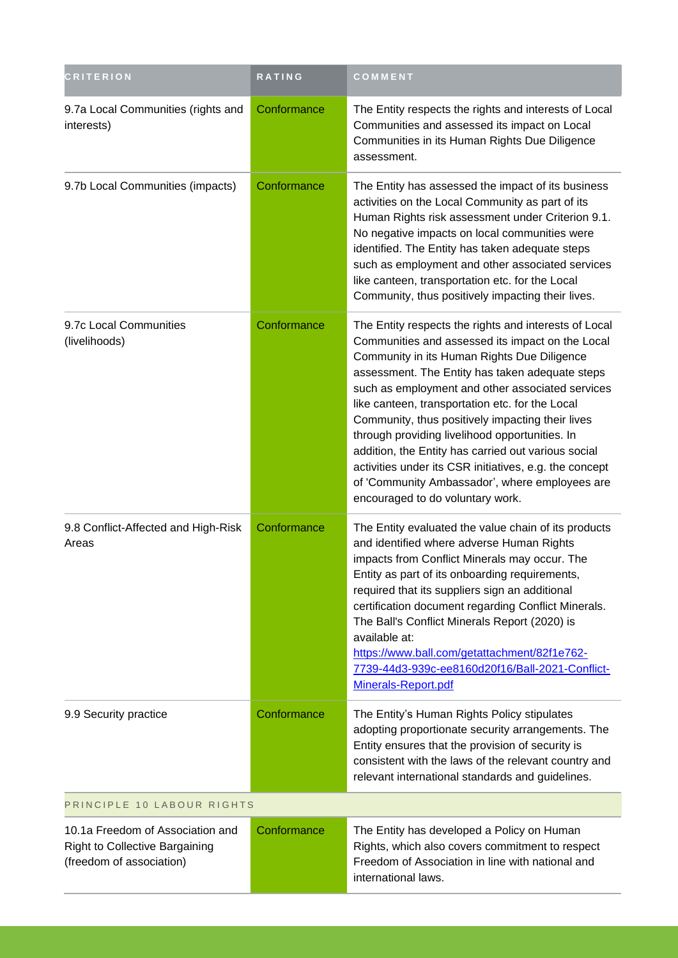| <b>CRITERION</b>                                                                                      | RATING      | COMMENT                                                                                                                                                                                                                                                                                                                                                                                                                                                                                                                                                                                                                         |  |
|-------------------------------------------------------------------------------------------------------|-------------|---------------------------------------------------------------------------------------------------------------------------------------------------------------------------------------------------------------------------------------------------------------------------------------------------------------------------------------------------------------------------------------------------------------------------------------------------------------------------------------------------------------------------------------------------------------------------------------------------------------------------------|--|
| 9.7a Local Communities (rights and<br>interests)                                                      | Conformance | The Entity respects the rights and interests of Local<br>Communities and assessed its impact on Local<br>Communities in its Human Rights Due Diligence<br>assessment.                                                                                                                                                                                                                                                                                                                                                                                                                                                           |  |
| 9.7b Local Communities (impacts)                                                                      | Conformance | The Entity has assessed the impact of its business<br>activities on the Local Community as part of its<br>Human Rights risk assessment under Criterion 9.1.<br>No negative impacts on local communities were<br>identified. The Entity has taken adequate steps<br>such as employment and other associated services<br>like canteen, transportation etc. for the Local<br>Community, thus positively impacting their lives.                                                                                                                                                                                                     |  |
| 9.7c Local Communities<br>(livelihoods)                                                               | Conformance | The Entity respects the rights and interests of Local<br>Communities and assessed its impact on the Local<br>Community in its Human Rights Due Diligence<br>assessment. The Entity has taken adequate steps<br>such as employment and other associated services<br>like canteen, transportation etc. for the Local<br>Community, thus positively impacting their lives<br>through providing livelihood opportunities. In<br>addition, the Entity has carried out various social<br>activities under its CSR initiatives, e.g. the concept<br>of 'Community Ambassador', where employees are<br>encouraged to do voluntary work. |  |
| 9.8 Conflict-Affected and High-Risk<br>Areas                                                          | Conformance | The Entity evaluated the value chain of its products<br>and identified where adverse Human Rights<br>impacts from Conflict Minerals may occur. The<br>Entity as part of its onboarding requirements,<br>required that its suppliers sign an additional<br>certification document regarding Conflict Minerals.<br>The Ball's Conflict Minerals Report (2020) is<br>available at:<br>https://www.ball.com/getattachment/82f1e762-<br>7739-44d3-939c-ee8160d20f16/Ball-2021-Conflict-<br>Minerals-Report.pdf                                                                                                                       |  |
| 9.9 Security practice                                                                                 | Conformance | The Entity's Human Rights Policy stipulates<br>adopting proportionate security arrangements. The<br>Entity ensures that the provision of security is<br>consistent with the laws of the relevant country and<br>relevant international standards and guidelines.                                                                                                                                                                                                                                                                                                                                                                |  |
| PRINCIPLE 10 LABOUR RIGHTS                                                                            |             |                                                                                                                                                                                                                                                                                                                                                                                                                                                                                                                                                                                                                                 |  |
| 10.1a Freedom of Association and<br><b>Right to Collective Bargaining</b><br>(freedom of association) | Conformance | The Entity has developed a Policy on Human<br>Rights, which also covers commitment to respect<br>Freedom of Association in line with national and<br>international laws.                                                                                                                                                                                                                                                                                                                                                                                                                                                        |  |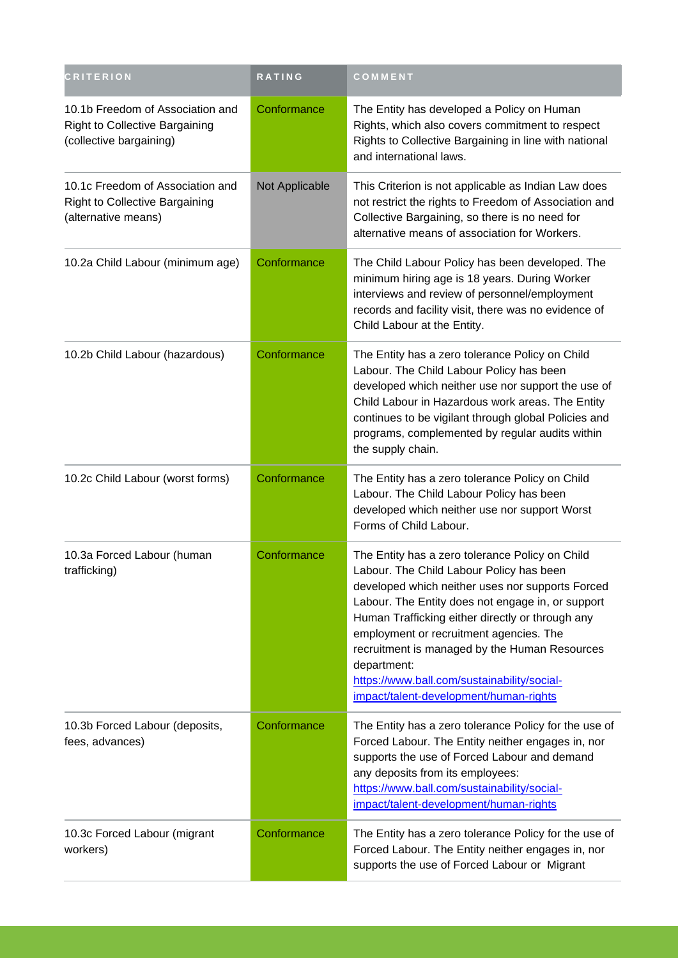| <b>CRITERION</b>                                                                                     | RATING         | COMMENT                                                                                                                                                                                                                                                                                                                                                                                                                                                      |
|------------------------------------------------------------------------------------------------------|----------------|--------------------------------------------------------------------------------------------------------------------------------------------------------------------------------------------------------------------------------------------------------------------------------------------------------------------------------------------------------------------------------------------------------------------------------------------------------------|
| 10.1b Freedom of Association and<br><b>Right to Collective Bargaining</b><br>(collective bargaining) | Conformance    | The Entity has developed a Policy on Human<br>Rights, which also covers commitment to respect<br>Rights to Collective Bargaining in line with national<br>and international laws.                                                                                                                                                                                                                                                                            |
| 10.1c Freedom of Association and<br><b>Right to Collective Bargaining</b><br>(alternative means)     | Not Applicable | This Criterion is not applicable as Indian Law does<br>not restrict the rights to Freedom of Association and<br>Collective Bargaining, so there is no need for<br>alternative means of association for Workers.                                                                                                                                                                                                                                              |
| 10.2a Child Labour (minimum age)                                                                     | Conformance    | The Child Labour Policy has been developed. The<br>minimum hiring age is 18 years. During Worker<br>interviews and review of personnel/employment<br>records and facility visit, there was no evidence of<br>Child Labour at the Entity.                                                                                                                                                                                                                     |
| 10.2b Child Labour (hazardous)                                                                       | Conformance    | The Entity has a zero tolerance Policy on Child<br>Labour. The Child Labour Policy has been<br>developed which neither use nor support the use of<br>Child Labour in Hazardous work areas. The Entity<br>continues to be vigilant through global Policies and<br>programs, complemented by regular audits within<br>the supply chain.                                                                                                                        |
| 10.2c Child Labour (worst forms)                                                                     | Conformance    | The Entity has a zero tolerance Policy on Child<br>Labour. The Child Labour Policy has been<br>developed which neither use nor support Worst<br>Forms of Child Labour.                                                                                                                                                                                                                                                                                       |
| 10.3a Forced Labour (human<br>trafficking)                                                           | Conformance    | The Entity has a zero tolerance Policy on Child<br>Labour. The Child Labour Policy has been<br>developed which neither uses nor supports Forced<br>Labour. The Entity does not engage in, or support<br>Human Trafficking either directly or through any<br>employment or recruitment agencies. The<br>recruitment is managed by the Human Resources<br>department:<br>https://www.ball.com/sustainability/social-<br>impact/talent-development/human-rights |
| 10.3b Forced Labour (deposits,<br>fees, advances)                                                    | Conformance    | The Entity has a zero tolerance Policy for the use of<br>Forced Labour. The Entity neither engages in, nor<br>supports the use of Forced Labour and demand<br>any deposits from its employees:<br>https://www.ball.com/sustainability/social-<br>impact/talent-development/human-rights                                                                                                                                                                      |
| 10.3c Forced Labour (migrant<br>workers)                                                             | Conformance    | The Entity has a zero tolerance Policy for the use of<br>Forced Labour. The Entity neither engages in, nor<br>supports the use of Forced Labour or Migrant                                                                                                                                                                                                                                                                                                   |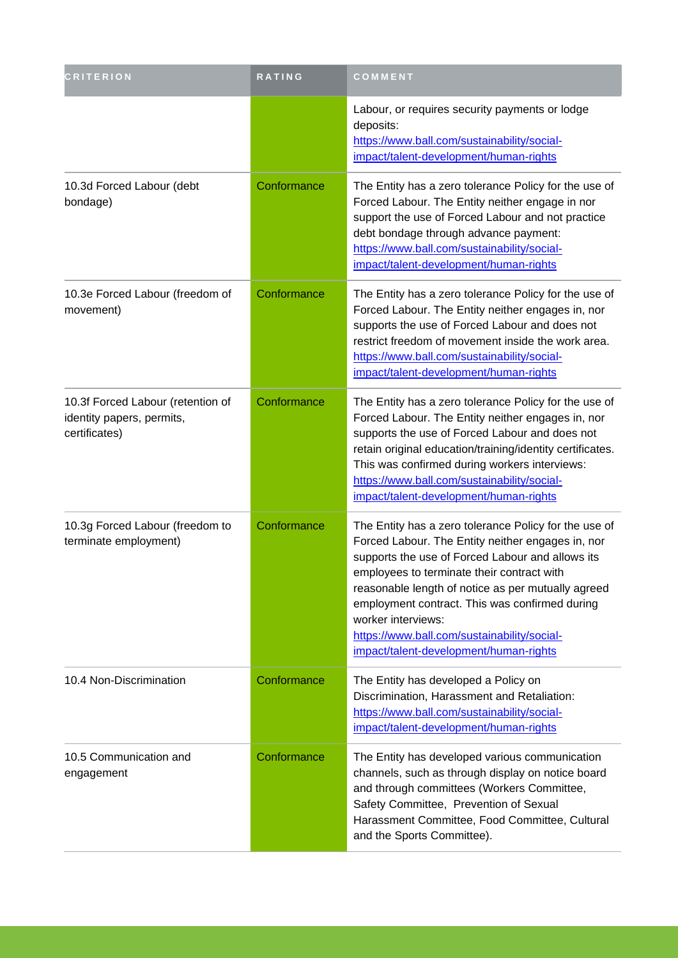| <b>CRITERION</b>                                                                | RATING      | COMMENT                                                                                                                                                                                                                                                                                                                                                                                                                             |
|---------------------------------------------------------------------------------|-------------|-------------------------------------------------------------------------------------------------------------------------------------------------------------------------------------------------------------------------------------------------------------------------------------------------------------------------------------------------------------------------------------------------------------------------------------|
|                                                                                 |             | Labour, or requires security payments or lodge<br>deposits:<br>https://www.ball.com/sustainability/social-<br>impact/talent-development/human-rights                                                                                                                                                                                                                                                                                |
| 10.3d Forced Labour (debt<br>bondage)                                           | Conformance | The Entity has a zero tolerance Policy for the use of<br>Forced Labour. The Entity neither engage in nor<br>support the use of Forced Labour and not practice<br>debt bondage through advance payment:<br>https://www.ball.com/sustainability/social-<br>impact/talent-development/human-rights                                                                                                                                     |
| 10.3e Forced Labour (freedom of<br>movement)                                    | Conformance | The Entity has a zero tolerance Policy for the use of<br>Forced Labour. The Entity neither engages in, nor<br>supports the use of Forced Labour and does not<br>restrict freedom of movement inside the work area.<br>https://www.ball.com/sustainability/social-<br>impact/talent-development/human-rights                                                                                                                         |
| 10.3f Forced Labour (retention of<br>identity papers, permits,<br>certificates) | Conformance | The Entity has a zero tolerance Policy for the use of<br>Forced Labour. The Entity neither engages in, nor<br>supports the use of Forced Labour and does not<br>retain original education/training/identity certificates.<br>This was confirmed during workers interviews:<br>https://www.ball.com/sustainability/social-<br>impact/talent-development/human-rights                                                                 |
| 10.3g Forced Labour (freedom to<br>terminate employment)                        | Conformance | The Entity has a zero tolerance Policy for the use of<br>Forced Labour. The Entity neither engages in, nor<br>supports the use of Forced Labour and allows its<br>employees to terminate their contract with<br>reasonable length of notice as per mutually agreed<br>employment contract. This was confirmed during<br>worker interviews:<br>https://www.ball.com/sustainability/social-<br>impact/talent-development/human-rights |
| 10.4 Non-Discrimination                                                         | Conformance | The Entity has developed a Policy on<br>Discrimination, Harassment and Retaliation:<br>https://www.ball.com/sustainability/social-<br>impact/talent-development/human-rights                                                                                                                                                                                                                                                        |
| 10.5 Communication and<br>engagement                                            | Conformance | The Entity has developed various communication<br>channels, such as through display on notice board<br>and through committees (Workers Committee,<br>Safety Committee, Prevention of Sexual<br>Harassment Committee, Food Committee, Cultural<br>and the Sports Committee).                                                                                                                                                         |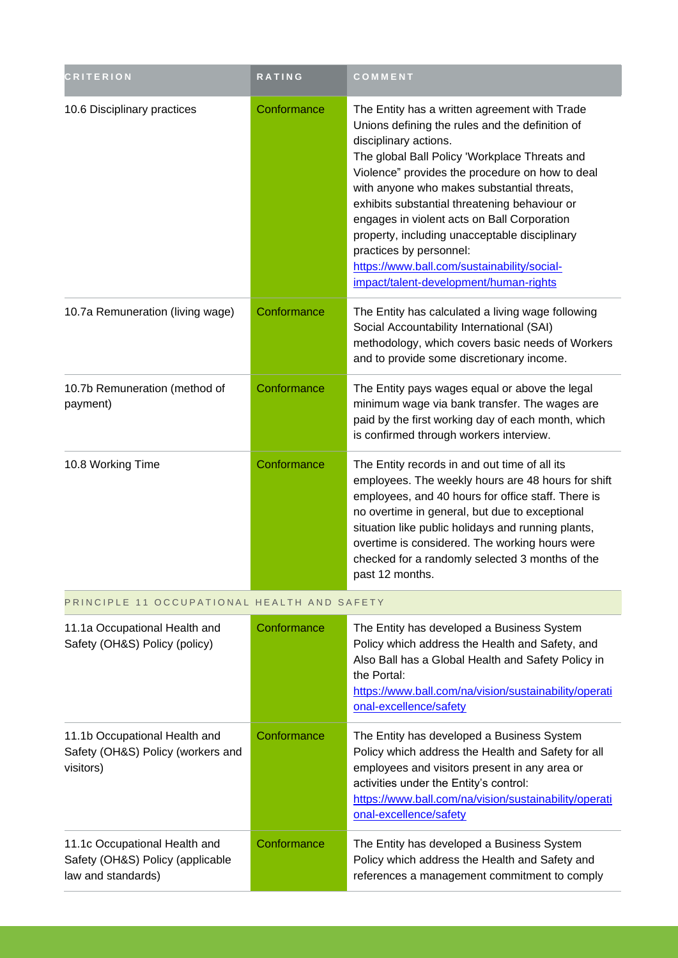| <b>CRITERION</b>                                               | <b>RATING</b> | COMMENT                                                                                                                                                                                                                                                                                                                                                                                                                                                                                                                                          |
|----------------------------------------------------------------|---------------|--------------------------------------------------------------------------------------------------------------------------------------------------------------------------------------------------------------------------------------------------------------------------------------------------------------------------------------------------------------------------------------------------------------------------------------------------------------------------------------------------------------------------------------------------|
| 10.6 Disciplinary practices                                    | Conformance   | The Entity has a written agreement with Trade<br>Unions defining the rules and the definition of<br>disciplinary actions.<br>The global Ball Policy 'Workplace Threats and<br>Violence" provides the procedure on how to deal<br>with anyone who makes substantial threats,<br>exhibits substantial threatening behaviour or<br>engages in violent acts on Ball Corporation<br>property, including unacceptable disciplinary<br>practices by personnel:<br>https://www.ball.com/sustainability/social-<br>impact/talent-development/human-rights |
| 10.7a Remuneration (living wage)                               | Conformance   | The Entity has calculated a living wage following<br>Social Accountability International (SAI)<br>methodology, which covers basic needs of Workers<br>and to provide some discretionary income.                                                                                                                                                                                                                                                                                                                                                  |
| 10.7b Remuneration (method of<br>payment)                      | Conformance   | The Entity pays wages equal or above the legal<br>minimum wage via bank transfer. The wages are<br>paid by the first working day of each month, which<br>is confirmed through workers interview.                                                                                                                                                                                                                                                                                                                                                 |
| 10.8 Working Time                                              | Conformance   | The Entity records in and out time of all its<br>employees. The weekly hours are 48 hours for shift<br>employees, and 40 hours for office staff. There is<br>no overtime in general, but due to exceptional<br>situation like public holidays and running plants,<br>overtime is considered. The working hours were<br>checked for a randomly selected 3 months of the<br>past 12 months.                                                                                                                                                        |
| PRINCIPLE 11 OCCUPATIONAL HEALTH AND SAFETY                    |               |                                                                                                                                                                                                                                                                                                                                                                                                                                                                                                                                                  |
| 11.1a Occupational Health and<br>Safety (OH&S) Policy (policy) | Conformance   | The Entity has developed a Business System<br>Policy which address the Health and Safety, and                                                                                                                                                                                                                                                                                                                                                                                                                                                    |

| 11.1a Occupational Health and<br>Safety (OH&S) Policy (policy)                          | Conformance | The Entity has developed a Business System<br>Policy which address the Health and Safety, and<br>Also Ball has a Global Health and Safety Policy in<br>the Portal:<br>https://www.ball.com/na/vision/sustainability/operati<br>onal-excellence/safety                          |
|-----------------------------------------------------------------------------------------|-------------|--------------------------------------------------------------------------------------------------------------------------------------------------------------------------------------------------------------------------------------------------------------------------------|
| 11.1b Occupational Health and<br>Safety (OH&S) Policy (workers and<br>visitors)         | Conformance | The Entity has developed a Business System<br>Policy which address the Health and Safety for all<br>employees and visitors present in any area or<br>activities under the Entity's control:<br>https://www.ball.com/na/vision/sustainability/operati<br>onal-excellence/safety |
| 11.1c Occupational Health and<br>Safety (OH&S) Policy (applicable<br>law and standards) | Conformance | The Entity has developed a Business System<br>Policy which address the Health and Safety and<br>references a management commitment to comply                                                                                                                                   |